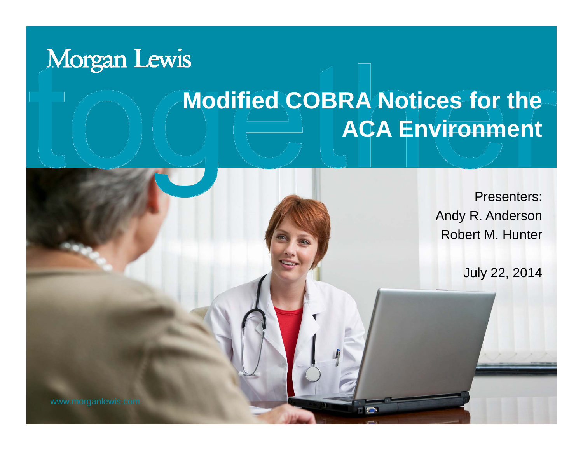## **Morgan Lewis**

## **Modified COBRA Notices for the ACA Environment**

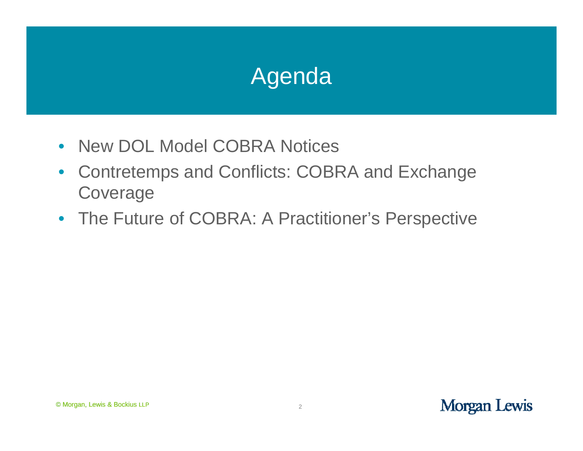## Agenda

- New DOL Model COBRA Notices
- Contretemps and Conflicts: COBRA and Exchange Coverage
- The Future of COBRA: A Practitioner's Perspective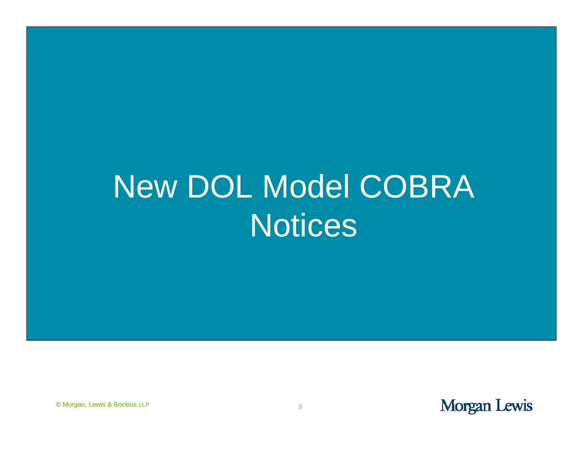## New DOL Model COBRA **Notices**

© Morgan, Lewis & Bockius LLP <sup>3</sup>

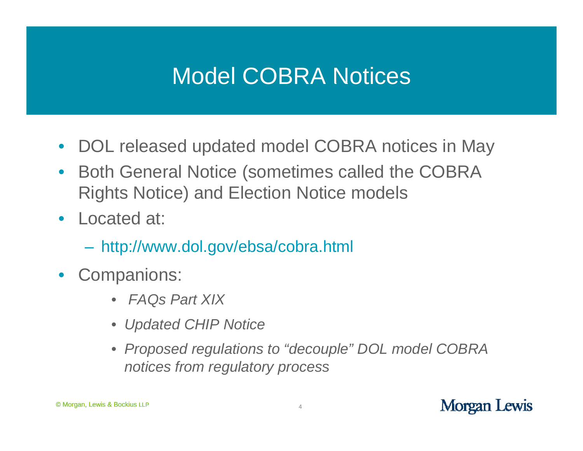- $\bullet$ • DOL released updated model COBRA notices in May
- $\bullet$  Both General Notice (sometimes called the COBRA Rights Notice) and Election Notice models
- Located at:
	- http://www.dol.gov/ebsa/cobra.html
- $\bullet$  Companions:
	- *FAQs Part XIX*
	- *Updated CHIP Notice*
	- $\bullet$  *Proposed regulations to "decouple" DOL model COBRA notices from regulatory process*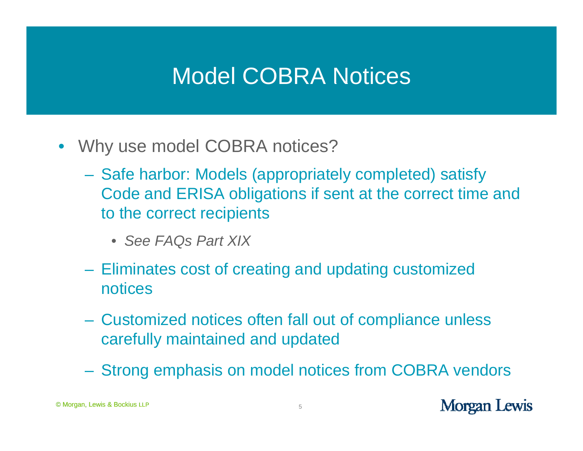- $\bullet$ • Why use model COBRA notices?
	- Safe harbor: Models (appropriately completed) satisfy Code and ERISA obligations if sent at the correct time and to the correct recipients
		- *See FAQs Part XIX*
	- Eliminates cost of creating and updating customized notices
	- Customized notices often fall out of compliance unless carefully maintained and updated
	- Strong emphasis on model notices from COBRA vend - Strong emphasis on model notices from COBRA vendors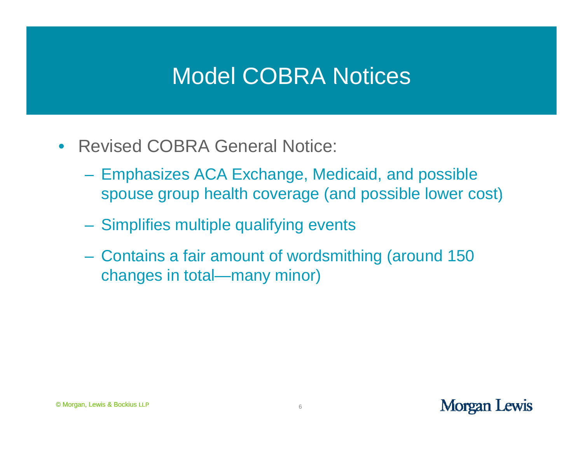- Revised COBRA General Notice:
	- Emphasizes ACA Exchange, Medicaid, and possible spouse group health coverage (and possible lower cost)
	- Simplifies multiple qualifying events
	- Contains a fair amount of wordsmithing (around 150 changes in total—many minor)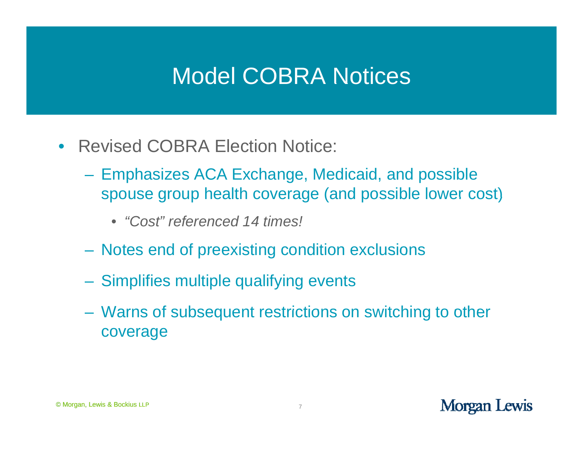- Revised COBRA Election Notice:
	- Emphasizes ACA Exchange, Medicaid, and possible spouse group health coverage (and possible lower cost)
		- *"Cost" referenced 14 times!*
	- $-$  Notes end of preexisting condition exclusions
	- Simplifies multiple qualifying events
	- $-$  Warns of subsequent restrictions on switching to other coverage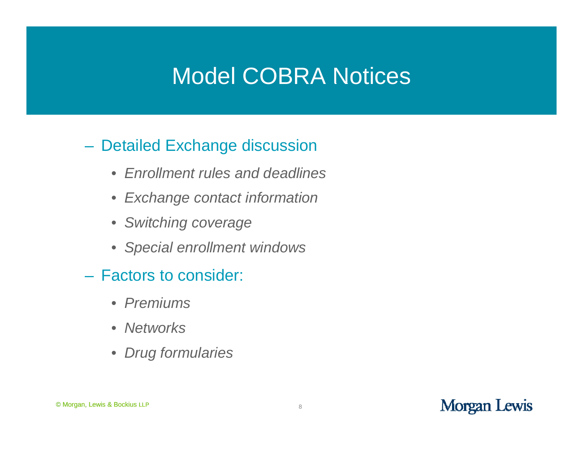#### – Detailed Exchange discussion

- *Enrollment rules and deadlines*
- *Exchange contact information Exchange*
- *Switching coverage*
- *Special enrollment windows*
- Factors to consider:
	- *Premiums*
	- *Networks*
	- *Drug formularies*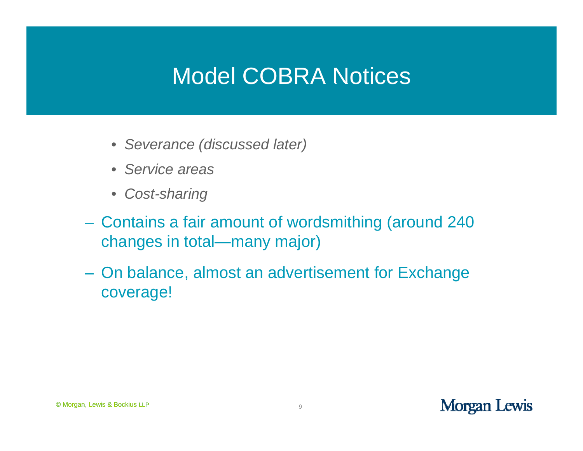- *S (di d l t ) Severance (discusse la ter)*
- *Service areas*
- Cost-sharing
- Contains a fair amount of wordsmithing (around 240 changes in total—many major)
- On balance, almost an advertisement for Exchange coverage!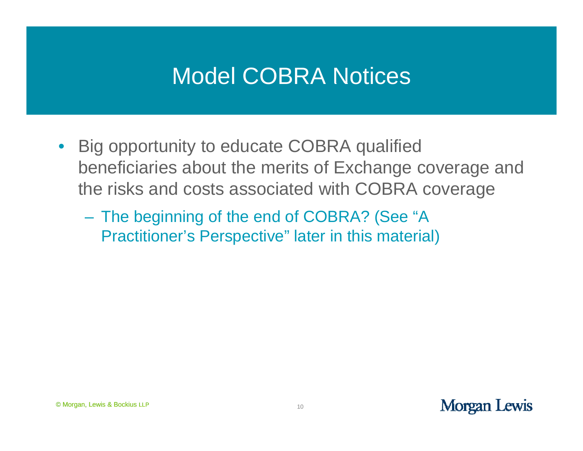- Big opportunity to educate COBRA qualified beneficiaries about the merits of Exchange coverage and the risks and costs associated with COBRA coverage
	- – The beginning of the end of COBRA? (See "A Practitioner's Perspective" later in this material)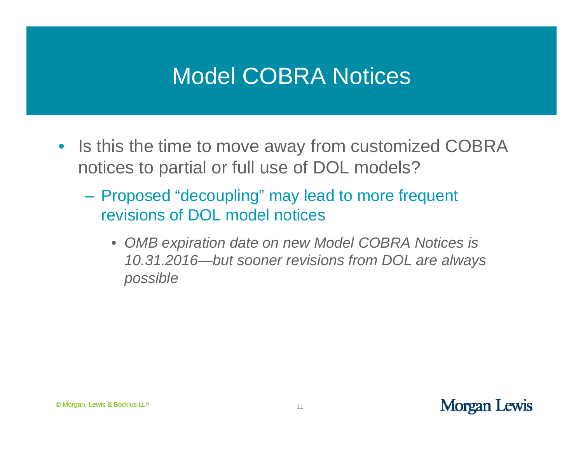- Is this the time to move away from customized COBRA notices to partial or full use of DOL models?
	- Proposed "decoupling" may lead to more frequent revisions of DOL model notices
		- *OMB expiration date on new Model COBRA Notices is 10.31.201 6—but sooner revisions from DOL are always possible*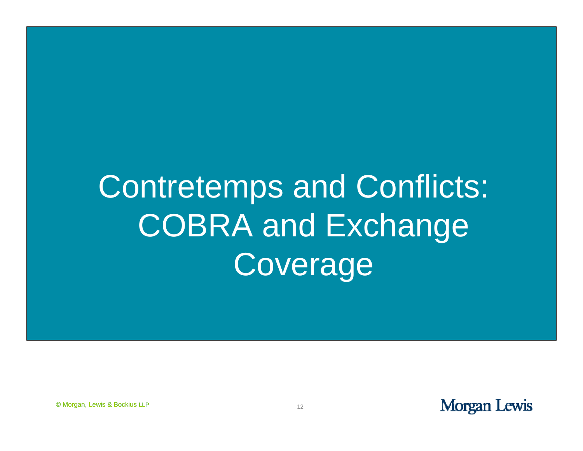# Contretemps and Conflicts: COBRA and Exchange Coverage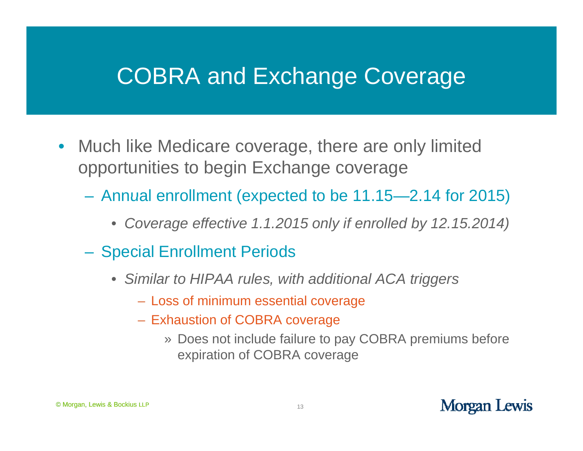- Much like Medicare coverage, there are only limited opportunities to begin Exchange coverage
	- Annual enrollment (expected to be 11.15—2.14 for 2015)
		- *Coverage effective 1.1.2015 only if enrolled by 12.15.2014)*
	- **Special Enrollment Periods** 
		- *Similar to HIPAA rules, with additional ACA triggers*
			- Loss of minimum essential coverage
			- Exhaustion of COBRA coverage
				- » Does not include failure to pay COBRA premiums before expiration of COBRA coverage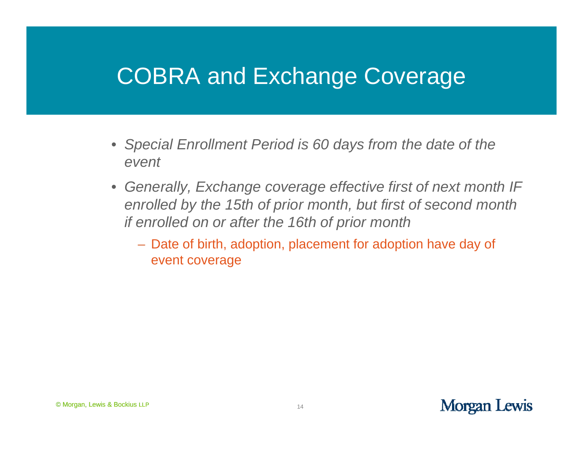- Special Enrollment Period is 60 days from the date of the *event*
- $\bullet$  *Generally, Exchange coverage effective first of next month IF enrolled by the 15th of prior month, but first of second month if enrolled on or after the 16th of prior month*
	- Date of birth, adoption, placement for adoption have day of event coverage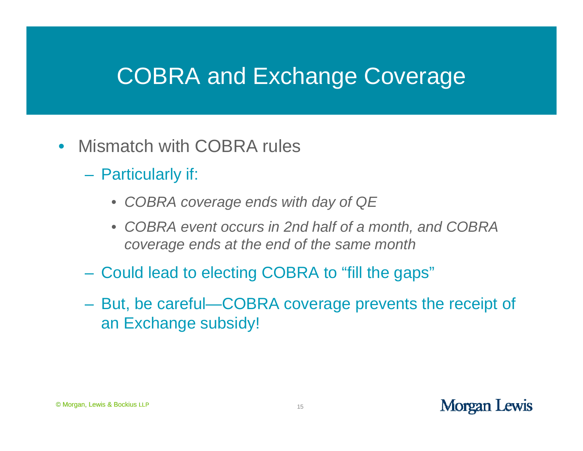- $\bullet$ • Mismatch with COBRA rules
	- Particularly if:
		- *COBRA d ith d f QE COBRA coverage en ds with day o*
		- *COBRA event occurs in 2nd half of a month, and COBRA coverage ends at the end of the same month*
	- Could lead to electing COBRA to "fill the gaps"
	- But, be careful—COBRA coverage prevents the receipt of an Exchange subsidy!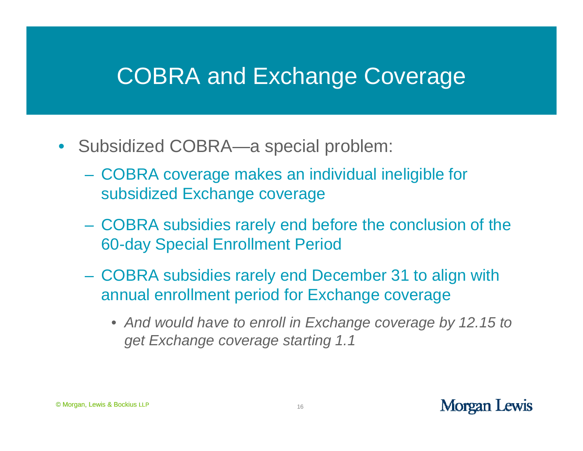- Subsidized COBRA—a special problem:
	- COBRA coverage makes an individual ineligible for subsidized Exchange coverage
	- COBRA subsidies rarely end before the conclusion of the 60-day Special Enrollment Period
	- COBRA subsidies rarely end December 31 to align with annual enrollment period for Exchange coverage
		- *And would have to enroll in Exchange coverage by 12.15 to get Exchange coverage starting 1.1*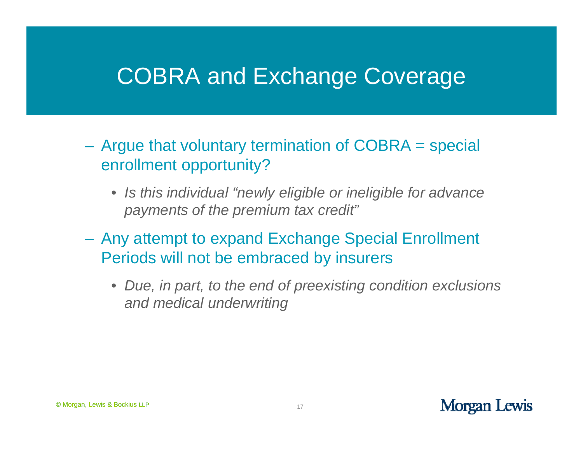- Argue that voluntary termination of COBRA = special enrollment opportunity?
	- *Is this individual "newly eligible or ineligible for advance newly payments of the premium tax credit"*
- – Any attempt to expand Exchange Special Enrollment Periods will not be embraced by insurers
	- *Due, in part, to the end of preexisting condition exclusions and medical underwritin g*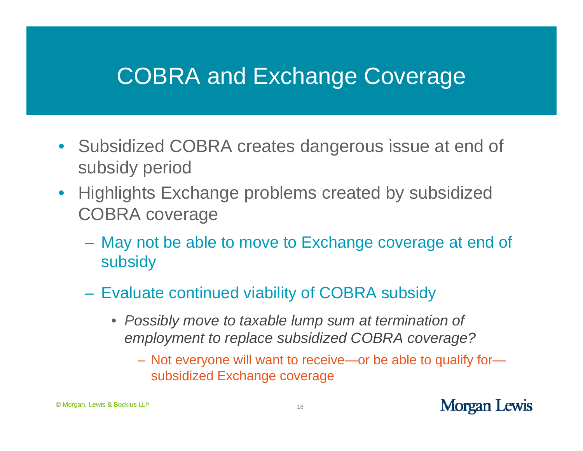- Subsidized COBRA creates dangerous issue at end of subsidy period
- $\bullet$  Highlights Exchange problems created by subsidized COBRA coverage
	- May not be able to move to Exchange coverage at end of subsidy
	- Evaluate continued viability of COBRA subsidy
		- *Possibly move to taxable lump sum at termination of employment to replace subsidized COBRA coverage?*
			- Not everyone will want to receive—or be able to qualify for subsidized Exchange coverage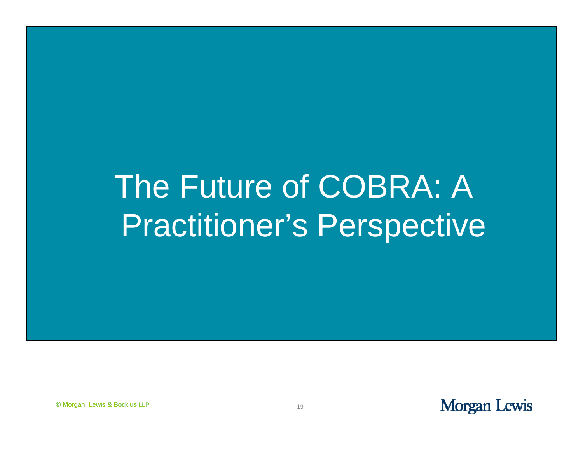## The Future of COBRA: A Practitioner's Perspective

© Morgan, Lewis & Bockius LLP <sup>19</sup>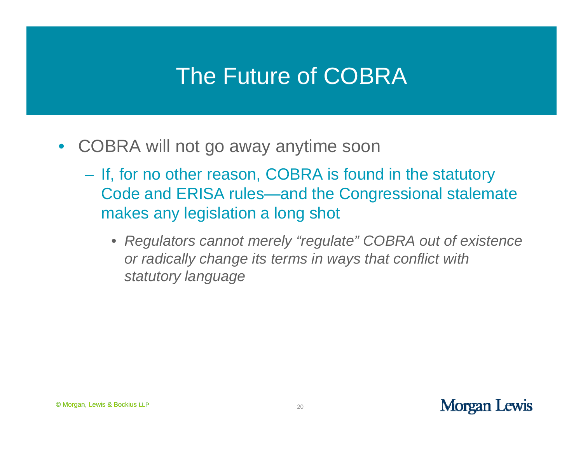- $\bullet$ • COBRA will not go away anytime soon
	- If, for no other reason, COBRA is found in the statutory Code and ERISA rules—and the Congressional stalemate makes any legislation a long shot
		- *Regulators cannot merely "regulate" COBRA out of existence*  or radically change its terms in ways that conflict with *statutory language*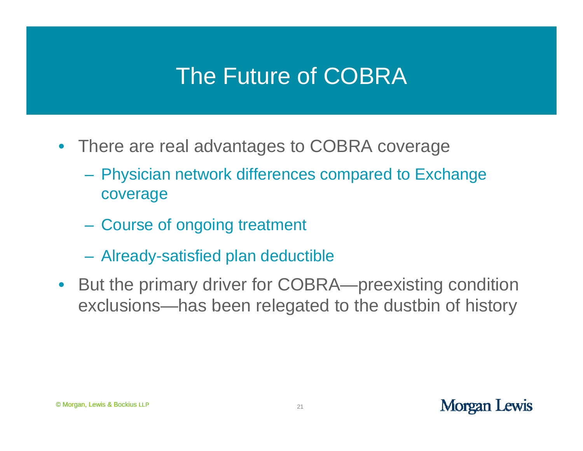- There are real advantages to COBRA coverage
	- Physician network differences compared to Exchange coverage
	- Course of ongoing treatment
	- –– Already-satisfied plan deductible
- But the primary driver for COBRA—preexisting condition exclusions—has been relegated to the dustbin of history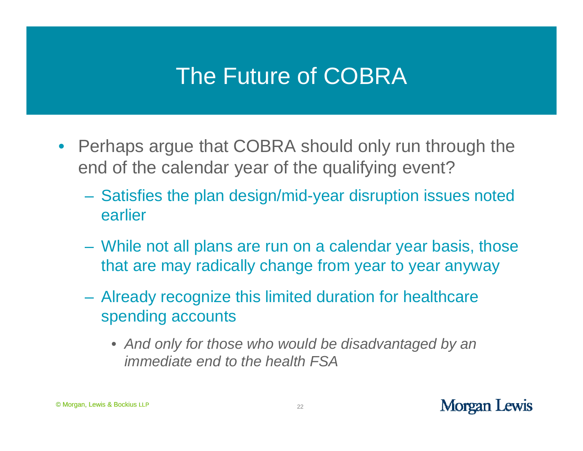- Perhaps argue that COBRA should only run through the end of the calendar year of the qualifying event?
	- $-$  Satisfies the plan design/mid-year disruption issues noted earlier
	- While not all plans are run on a calendar year basis, those that are may radically change from year to year anyway
	- Already recognize this limited duration for healthcare spending accounts
		- *And only for those who would be disadvantaged by an immediate end to the health FSA*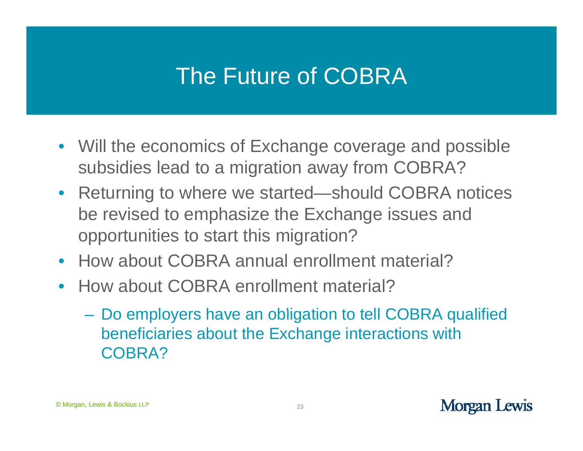- Will the economics of Exchange coverage and possible subsidies lead to a migration away from COBRA?
- Returning to where we started—should COBRA notices be revised to emphasize the Exchange issues and opportunities to start this migration?
- How about COBRA annual enrollment material?
- How about COBRA enrollment material?
	- Do employers have an obligation to tell COBRA qualified beneficiaries about the Exchange interactions with COBRA?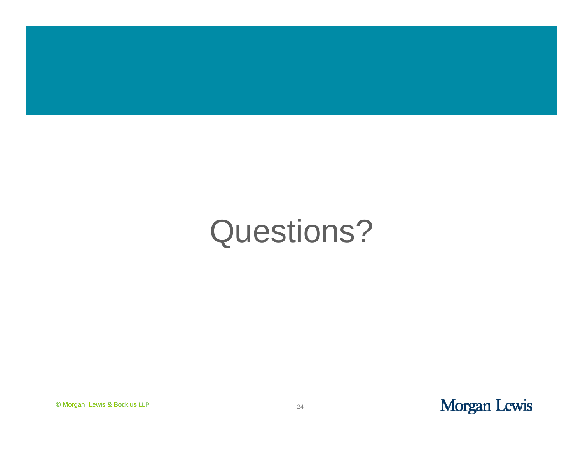

## Questions?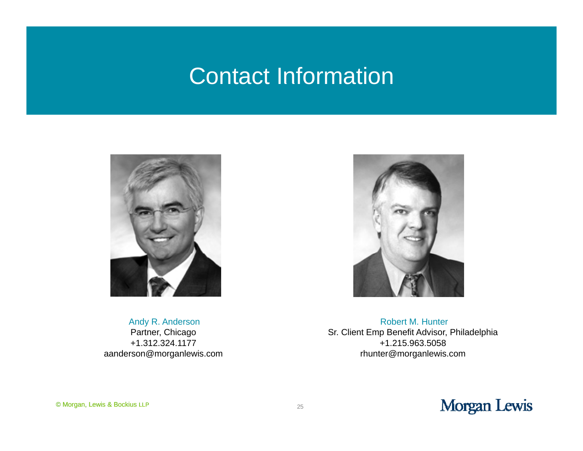#### Contact Information



Andy R. Anderson Partner, Chicago +1.312.324.1177aanderson@morganlewis.com



Robert M. Hunter Sr. Client Emp Benefit Advisor, Philadelphia +1.215.963.5058 rhunter@morganlewis.com



© Morgan, Lewis & Bockius LLP <sup>25</sup>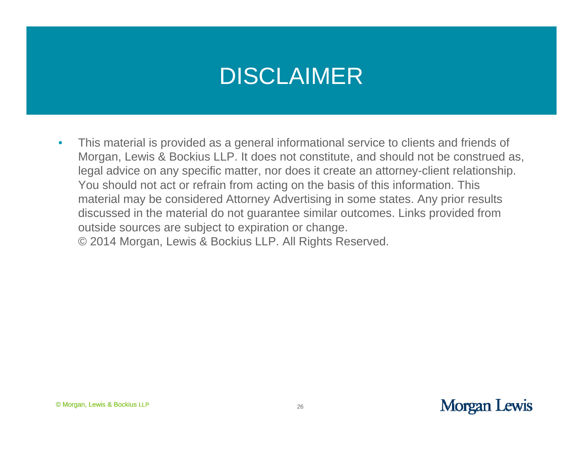## DISCLAIMER

 $\bullet$ This material is provided as a general informational service to clients and friends of Morgan, Lewis & Bockius LLP. It does not constitute, and should not be construed as, legal advice on any specific matter, nor does it create an attorney-client relationship. You should not act or refrain from acting on the basis of this information. This material may be considered Attorney Advertising in some states. Any prior results discussed in the material do not guarantee similar outcomes. Links provided from outside sources are subject to expiration or change. © 2014 Morgan, Lewis & Bockius LLP. All Rights Reserved.